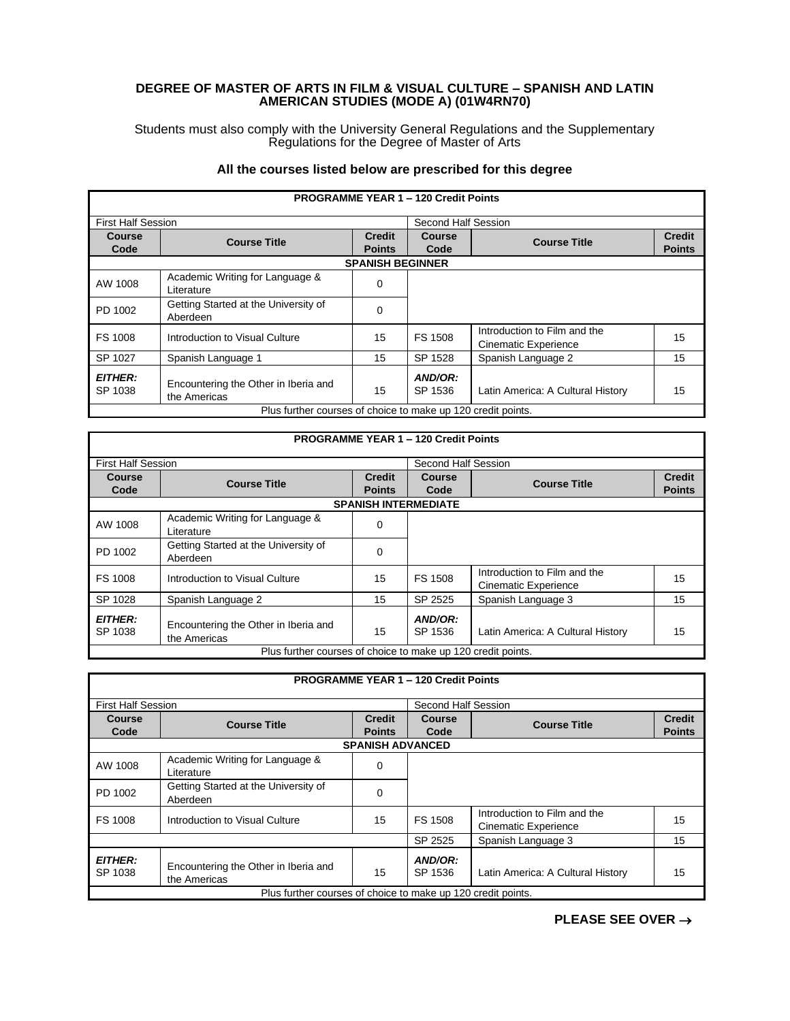## **DEGREE OF MASTER OF ARTS IN FILM & VISUAL CULTURE – SPANISH AND LATIN AMERICAN STUDIES (MODE A) (01W4RN70)**

Students must also comply with the University General Regulations and the Supplementary Regulations for the Degree of Master of Arts

## **All the courses listed below are prescribed for this degree**

I

|                           |                                                              |                                | <b>PROGRAMME YEAR 1 - 120 Credit Points</b> |                                                             |                                |
|---------------------------|--------------------------------------------------------------|--------------------------------|---------------------------------------------|-------------------------------------------------------------|--------------------------------|
| <b>First Half Session</b> |                                                              |                                | Second Half Session                         |                                                             |                                |
| Course<br>Code            | <b>Course Title</b>                                          | <b>Credit</b><br><b>Points</b> | Course<br>Code                              | <b>Course Title</b>                                         | <b>Credit</b><br><b>Points</b> |
|                           |                                                              | <b>SPANISH BEGINNER</b>        |                                             |                                                             |                                |
| AW 1008                   | Academic Writing for Language &<br>Literature                | $\Omega$                       |                                             |                                                             |                                |
| PD 1002                   | Getting Started at the University of<br>Aberdeen             | 0                              |                                             |                                                             |                                |
| FS 1008                   | Introduction to Visual Culture                               | 15                             | FS 1508                                     | Introduction to Film and the<br><b>Cinematic Experience</b> | 15                             |
| SP 1027                   | Spanish Language 1                                           | 15                             | SP 1528                                     | Spanish Language 2                                          | 15                             |
| <b>EITHER:</b><br>SP 1038 | Encountering the Other in Iberia and<br>the Americas         | 15                             | AND/OR:<br>SP 1536                          | Latin America: A Cultural History                           | 15                             |
|                           | Plus further courses of choice to make up 120 credit points. |                                |                                             |                                                             |                                |

|                           |                                                              |                         | <b>PROGRAMME YEAR 1 - 120 Credit Points</b> |                                                             |               |
|---------------------------|--------------------------------------------------------------|-------------------------|---------------------------------------------|-------------------------------------------------------------|---------------|
| <b>First Half Session</b> |                                                              |                         | Second Half Session                         |                                                             |               |
| Course                    | <b>Course Title</b>                                          | <b>Credit</b><br>Course |                                             | <b>Course Title</b>                                         | <b>Credit</b> |
| Code                      |                                                              | <b>Points</b>           | Code                                        |                                                             | <b>Points</b> |
|                           |                                                              |                         | <b>SPANISH INTERMEDIATE</b>                 |                                                             |               |
| AW 1008                   | Academic Writing for Language &<br>Literature                | 0                       |                                             |                                                             |               |
| PD 1002                   | Getting Started at the University of<br>Aberdeen             | $\Omega$                |                                             |                                                             |               |
| FS 1008                   | Introduction to Visual Culture                               | 15                      | <b>FS 1508</b>                              | Introduction to Film and the<br><b>Cinematic Experience</b> | 15            |
| SP 1028                   | Spanish Language 2                                           | 15                      | SP 2525                                     | Spanish Language 3                                          | 15            |
| <b>EITHER:</b><br>SP 1038 | Encountering the Other in Iberia and<br>the Americas         | 15                      | AND/OR:<br>SP 1536                          | Latin America: A Cultural History                           | 15            |
|                           | Plus further courses of choice to make up 120 credit points. |                         |                                             |                                                             |               |

|                                                              |                                                      |                                | <b>PROGRAMME YEAR 1 - 120 Credit Points</b> |                                                             |                                |  |  |
|--------------------------------------------------------------|------------------------------------------------------|--------------------------------|---------------------------------------------|-------------------------------------------------------------|--------------------------------|--|--|
| <b>First Half Session</b>                                    |                                                      |                                | Second Half Session                         |                                                             |                                |  |  |
| Course<br>Code                                               | <b>Course Title</b>                                  | <b>Credit</b><br><b>Points</b> | Course<br>Code                              | <b>Course Title</b>                                         | <b>Credit</b><br><b>Points</b> |  |  |
|                                                              | <b>SPANISH ADVANCED</b>                              |                                |                                             |                                                             |                                |  |  |
| AW 1008                                                      | Academic Writing for Language &<br>Literature        | 0                              |                                             |                                                             |                                |  |  |
| PD 1002                                                      | Getting Started at the University of<br>Aberdeen     | $\Omega$                       |                                             |                                                             |                                |  |  |
| FS 1008                                                      | Introduction to Visual Culture                       | 15                             | FS 1508                                     | Introduction to Film and the<br><b>Cinematic Experience</b> | 15                             |  |  |
|                                                              |                                                      |                                | SP 2525                                     | Spanish Language 3                                          | 15                             |  |  |
| <b>EITHER:</b><br>SP 1038                                    | Encountering the Other in Iberia and<br>the Americas | 15                             | AND/OR:<br>SP 1536                          | Latin America: A Cultural History                           | 15                             |  |  |
| Plus further courses of choice to make up 120 credit points. |                                                      |                                |                                             |                                                             |                                |  |  |

**PLEASE SEE OVER** →